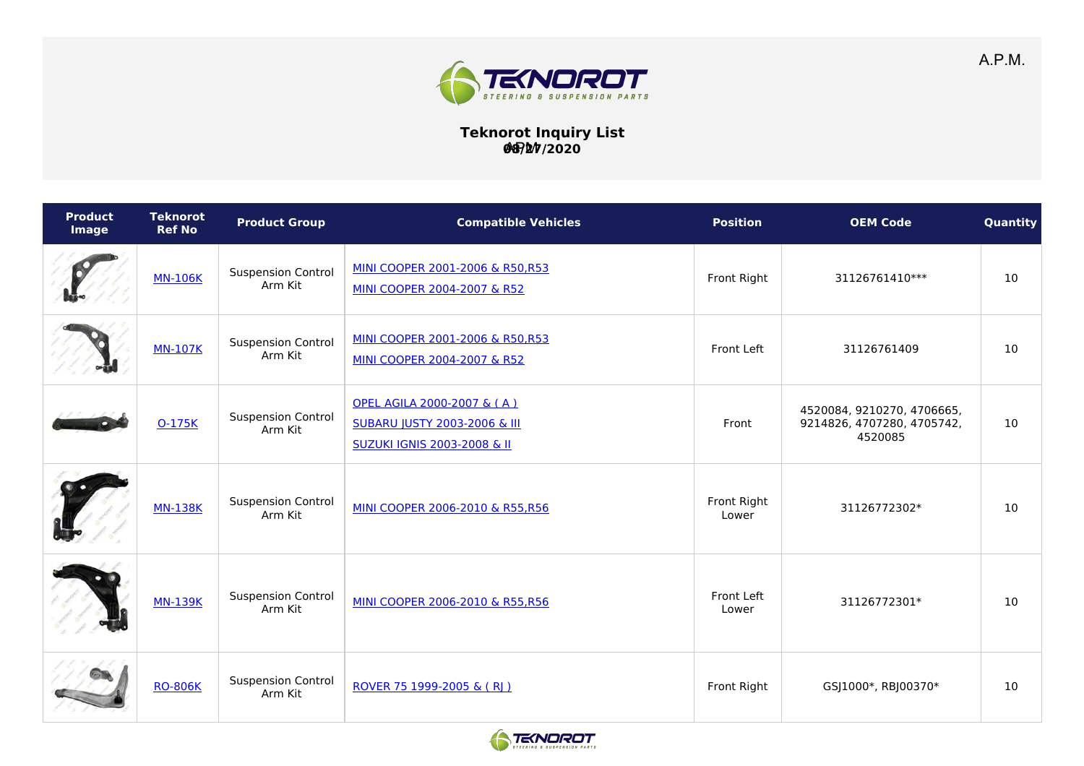

## **Teknorot Inquiry List 08/27/2020** APM

| <b>Product</b><br>Image | <b>Teknorot</b><br><b>Ref No</b> | <b>Product Group</b>                 | <b>Compatible Vehicles</b>                                                                                      | <b>Position</b>      | <b>OEM Code</b>                                                     | Quantity |
|-------------------------|----------------------------------|--------------------------------------|-----------------------------------------------------------------------------------------------------------------|----------------------|---------------------------------------------------------------------|----------|
|                         | <b>MN-106K</b>                   | <b>Suspension Control</b><br>Arm Kit | MINI COOPER 2001-2006 & R50,R53<br>MINI COOPER 2004-2007 & R52                                                  | Front Right          | 31126761410***                                                      | 10       |
|                         | <b>MN-107K</b>                   | <b>Suspension Control</b><br>Arm Kit | MINI COOPER 2001-2006 & R50,R53<br>MINI COOPER 2004-2007 & R52                                                  | Front Left           | 31126761409                                                         | 10       |
|                         | 0-175K                           | <b>Suspension Control</b><br>Arm Kit | OPEL AGILA 2000-2007 & (A)<br><b>SUBARU JUSTY 2003-2006 &amp; III</b><br><b>SUZUKI IGNIS 2003-2008 &amp; II</b> | Front                | 4520084, 9210270, 4706665,<br>9214826, 4707280, 4705742,<br>4520085 | 10       |
|                         | <b>MN-138K</b>                   | <b>Suspension Control</b><br>Arm Kit | MINI COOPER 2006-2010 & R55, R56                                                                                | Front Right<br>Lower | 31126772302*                                                        | 10       |
|                         | <b>MN-139K</b>                   | <b>Suspension Control</b><br>Arm Kit | MINI COOPER 2006-2010 & R55,R56                                                                                 | Front Left<br>Lower  | 31126772301*                                                        | 10       |
|                         | <b>RO-806K</b>                   | <b>Suspension Control</b><br>Arm Kit | ROVER 75 1999-2005 & (RI)                                                                                       | Front Right          | GSJ1000*, RBJ00370*                                                 | 10       |

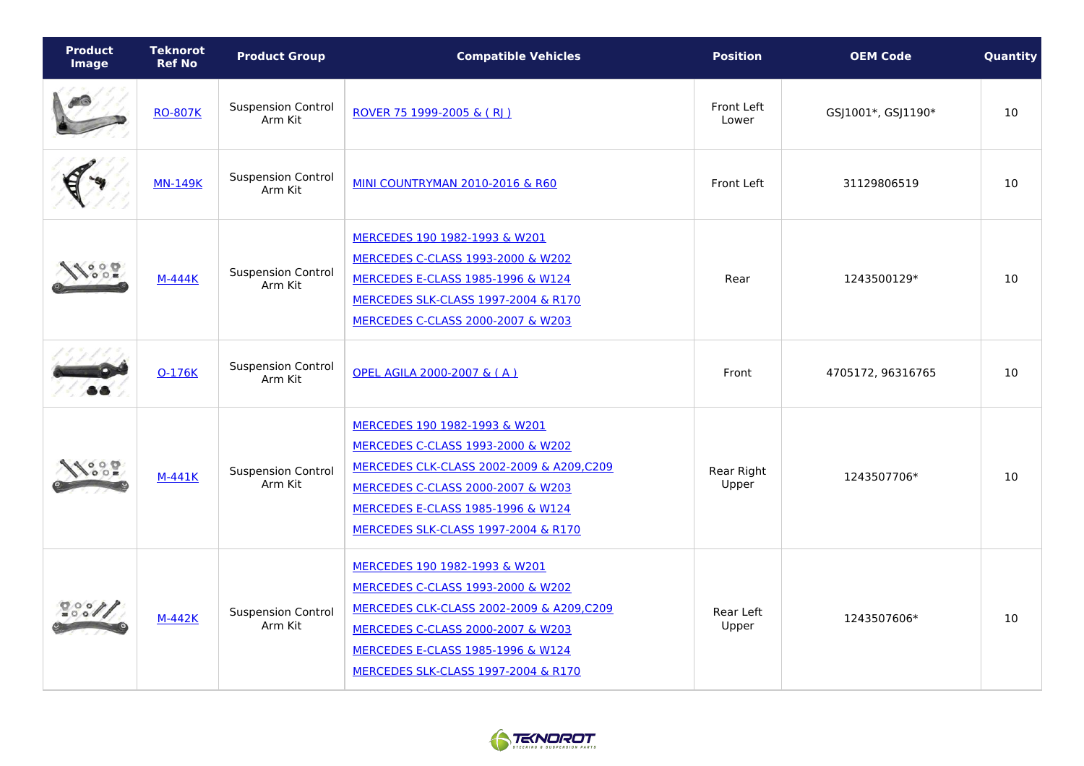| <b>Product</b><br><b>Image</b> | <b>Teknorot</b><br><b>Ref No</b> | <b>Product Group</b>                 | <b>Compatible Vehicles</b>                                                                                                                                                                                                                 | <b>Position</b>     | <b>OEM Code</b>    | Quantity |
|--------------------------------|----------------------------------|--------------------------------------|--------------------------------------------------------------------------------------------------------------------------------------------------------------------------------------------------------------------------------------------|---------------------|--------------------|----------|
|                                | <b>RO-807K</b>                   | <b>Suspension Control</b><br>Arm Kit | ROVER 75 1999-2005 & (RI)                                                                                                                                                                                                                  | Front Left<br>Lower | GSJ1001*, GSJ1190* | 10       |
|                                | <b>MN-149K</b>                   | <b>Suspension Control</b><br>Arm Kit | <b>MINI COUNTRYMAN 2010-2016 &amp; R60</b>                                                                                                                                                                                                 | Front Left          | 31129806519        | 10       |
|                                | <b>M-444K</b>                    | <b>Suspension Control</b><br>Arm Kit | MERCEDES 190 1982-1993 & W201<br>MERCEDES C-CLASS 1993-2000 & W202<br>MERCEDES E-CLASS 1985-1996 & W124<br>MERCEDES SLK-CLASS 1997-2004 & R170<br>MERCEDES C-CLASS 2000-2007 & W203                                                        | Rear                | 1243500129*        | 10       |
|                                | 0-176K                           | <b>Suspension Control</b><br>Arm Kit | OPEL AGILA 2000-2007 & (A)                                                                                                                                                                                                                 | Front               | 4705172, 96316765  | 10       |
| $\circ$ $\circ$<br>00E         | M-441K                           | <b>Suspension Control</b><br>Arm Kit | MERCEDES 190 1982-1993 & W201<br>MERCEDES C-CLASS 1993-2000 & W202<br>MERCEDES CLK-CLASS 2002-2009 & A209,C209<br>MERCEDES C-CLASS 2000-2007 & W203<br>MERCEDES E-CLASS 1985-1996 & W124<br><b>MERCEDES SLK-CLASS 1997-2004 &amp; R170</b> | Rear Right<br>Upper | 1243507706*        | 10       |
| $\frac{1}{200}$                | M-442K                           | <b>Suspension Control</b><br>Arm Kit | MERCEDES 190 1982-1993 & W201<br>MERCEDES C-CLASS 1993-2000 & W202<br>MERCEDES CLK-CLASS 2002-2009 & A209,C209<br>MERCEDES C-CLASS 2000-2007 & W203<br><b>MERCEDES E-CLASS 1985-1996 &amp; W124</b><br>MERCEDES SLK-CLASS 1997-2004 & R170 | Rear Left<br>Upper  | 1243507606*        | 10       |

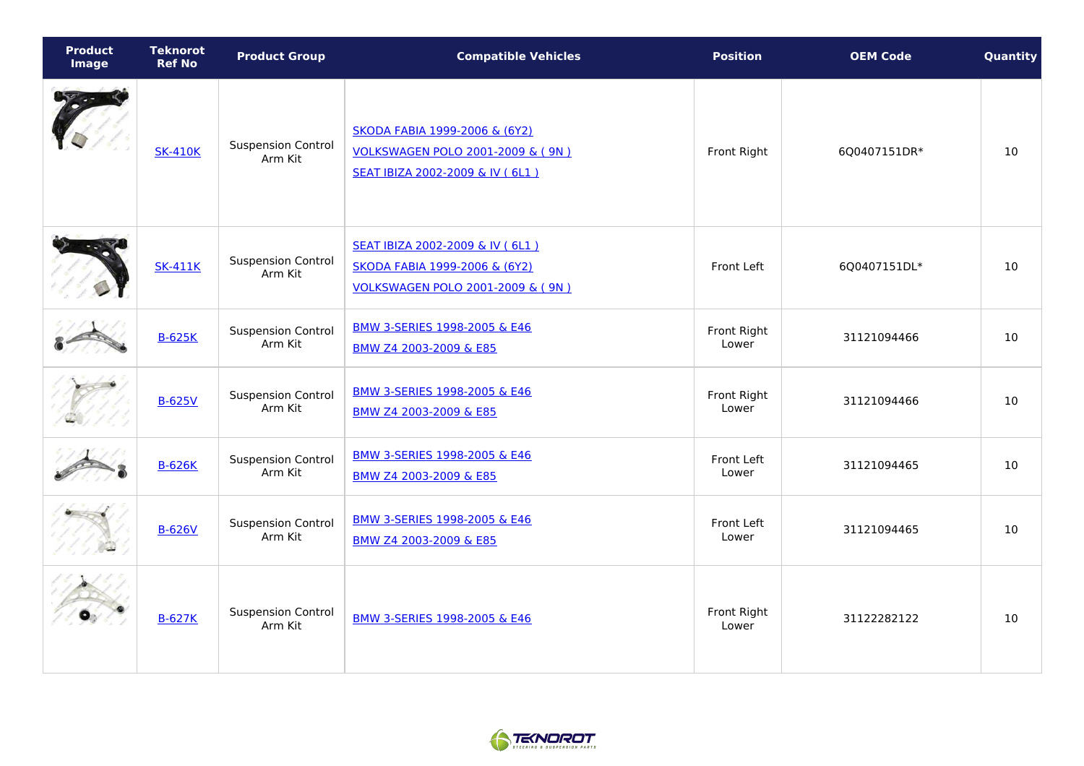| <b>Product</b><br><b>Image</b> | <b>Teknorot</b><br><b>Ref No</b> | <b>Product Group</b>                 | <b>Compatible Vehicles</b>                                                                                        | <b>Position</b>      | <b>OEM Code</b> | Quantity |
|--------------------------------|----------------------------------|--------------------------------------|-------------------------------------------------------------------------------------------------------------------|----------------------|-----------------|----------|
|                                | <b>SK-410K</b>                   | <b>Suspension Control</b><br>Arm Kit | SKODA FABIA 1999-2006 & (6Y2)<br>VOLKSWAGEN POLO 2001-2009 & ( 9N )<br>SEAT IBIZA 2002-2009 & IV (6L1)            | Front Right          | 6Q0407151DR*    | 10       |
|                                | <b>SK-411K</b>                   | <b>Suspension Control</b><br>Arm Kit | SEAT IBIZA 2002-2009 & IV (6L1)<br>SKODA FABIA 1999-2006 & (6Y2)<br><b>VOLKSWAGEN POLO 2001-2009 &amp; ( 9N )</b> | Front Left           | 6Q0407151DL*    | 10       |
|                                | <b>B-625K</b>                    | <b>Suspension Control</b><br>Arm Kit | BMW 3-SERIES 1998-2005 & E46<br>BMW Z4 2003-2009 & E85                                                            | Front Right<br>Lower | 31121094466     | 10       |
|                                | <b>B-625V</b>                    | <b>Suspension Control</b><br>Arm Kit | BMW 3-SERIES 1998-2005 & E46<br>BMW Z4 2003-2009 & E85                                                            | Front Right<br>Lower | 31121094466     | 10       |
|                                | <b>B-626K</b>                    | <b>Suspension Control</b><br>Arm Kit | BMW 3-SERIES 1998-2005 & E46<br>BMW Z4 2003-2009 & E85                                                            | Front Left<br>Lower  | 31121094465     | 10       |
|                                | <b>B-626V</b>                    | <b>Suspension Control</b><br>Arm Kit | BMW 3-SERIES 1998-2005 & E46<br>BMW Z4 2003-2009 & E85                                                            | Front Left<br>Lower  | 31121094465     | 10       |
|                                | <b>B-627K</b>                    | <b>Suspension Control</b><br>Arm Kit | BMW 3-SERIES 1998-2005 & E46                                                                                      | Front Right<br>Lower | 31122282122     | 10       |